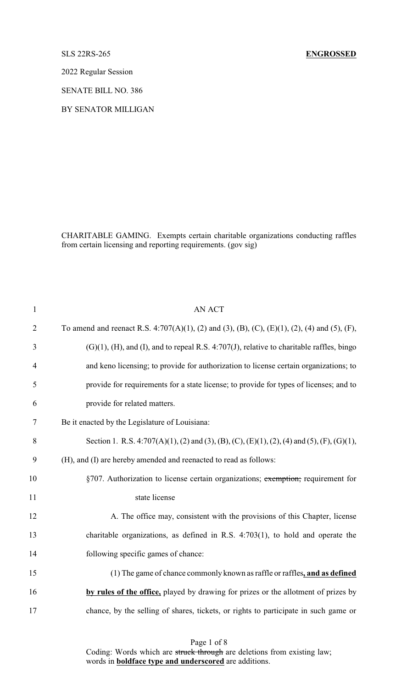2022 Regular Session

SENATE BILL NO. 386

BY SENATOR MILLIGAN

CHARITABLE GAMING. Exempts certain charitable organizations conducting raffles from certain licensing and reporting requirements. (gov sig)

| $\mathbf{1}$   | <b>AN ACT</b>                                                                                         |
|----------------|-------------------------------------------------------------------------------------------------------|
| $\overline{2}$ | To amend and reenact R.S. 4:707(A)(1), (2) and (3), (B), (C), (E)(1), (2), (4) and (5), (F),          |
| 3              | $(G)(1)$ , $(H)$ , and $(I)$ , and to repeal R.S. 4:707 $(J)$ , relative to charitable raffles, bingo |
| $\overline{4}$ | and keno licensing; to provide for authorization to license certain organizations; to                 |
| 5              | provide for requirements for a state license; to provide for types of licenses; and to                |
| 6              | provide for related matters.                                                                          |
| 7              | Be it enacted by the Legislature of Louisiana:                                                        |
| 8              | Section 1. R.S. 4:707(A)(1), (2) and (3), (B), (C), (E)(1), (2), (4) and (5), (F), (G)(1),            |
| 9              | (H), and (I) are hereby amended and reenacted to read as follows:                                     |
| 10             | §707. Authorization to license certain organizations; exemption; requirement for                      |
| 11             | state license                                                                                         |
| 12             | A. The office may, consistent with the provisions of this Chapter, license                            |
| 13             | charitable organizations, as defined in R.S. $4:703(1)$ , to hold and operate the                     |
| 14             | following specific games of chance:                                                                   |
| 15             | (1) The game of chance commonly known as raffle or raffles, and as defined                            |
| 16             | by rules of the office, played by drawing for prizes or the allotment of prizes by                    |
| 17             | chance, by the selling of shares, tickets, or rights to participate in such game or                   |
|                |                                                                                                       |

Coding: Words which are struck through are deletions from existing law; words in **boldface type and underscored** are additions.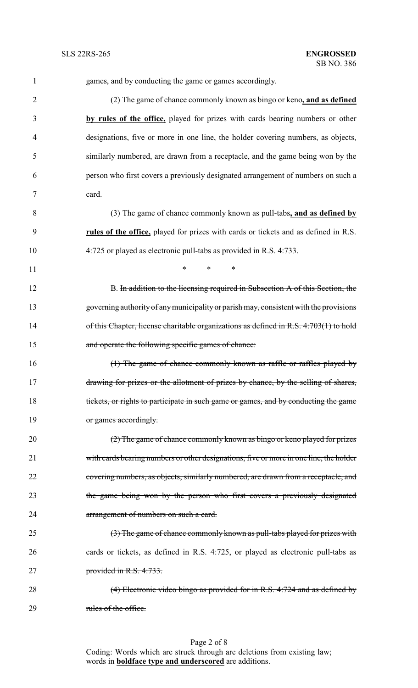| $\mathbf{1}$   | games, and by conducting the game or games accordingly.                                |
|----------------|----------------------------------------------------------------------------------------|
| $\overline{2}$ | (2) The game of chance commonly known as bingo or keno, and as defined                 |
| 3              | by rules of the office, played for prizes with cards bearing numbers or other          |
| 4              | designations, five or more in one line, the holder covering numbers, as objects,       |
| 5              | similarly numbered, are drawn from a receptacle, and the game being won by the         |
| 6              | person who first covers a previously designated arrangement of numbers on such a       |
| 7              | card.                                                                                  |
| 8              | (3) The game of chance commonly known as pull-tabs, and as defined by                  |
| 9              | rules of the office, played for prizes with cards or tickets and as defined in R.S.    |
| 10             | 4:725 or played as electronic pull-tabs as provided in R.S. 4:733.                     |
| 11             | $\ast$<br>*<br>$\ast$                                                                  |
| 12             | B. In addition to the licensing required in Subsection A of this Section, the          |
| 13             | governing authority of any municipality or parish may, consistent with the provisions  |
| 14             | of this Chapter, license charitable organizations as defined in R.S. 4:703(1) to hold  |
| 15             | and operate the following specific games of chance:                                    |
| 16             | (1) The game of chance commonly known as raffle or raffles played by                   |
| 17             | drawing for prizes or the allotment of prizes by chance, by the selling of shares,     |
| 18             | tickets, or rights to participate in such game or games, and by conducting the game    |
| 19             | or games accordingly.                                                                  |
| 20             | (2) The game of chance commonly known as bingo or keno played for prizes               |
| 21             | with cards bearing numbers or other designations, five or more in one line, the holder |
| 22             | covering numbers, as objects, similarly numbered, are drawn from a receptacle, and     |
| 23             | the game being won by the person who first covers a previously designated              |
| 24             | arrangement of numbers on such a card.                                                 |
| 25             | (3) The game of chance commonly known as pull-tabs played for prizes with              |
| 26             | eards or tickets, as defined in R.S. 4:725, or played as electronic pull-tabs as       |
| 27             | provided in R.S. 4:733.                                                                |
| 28             | (4) Electronic video bingo as provided for in R.S. 4:724 and as defined by             |
|                |                                                                                        |

29 rules of the office.

Page 2 of 8 Coding: Words which are struck through are deletions from existing law; words in **boldface type and underscored** are additions.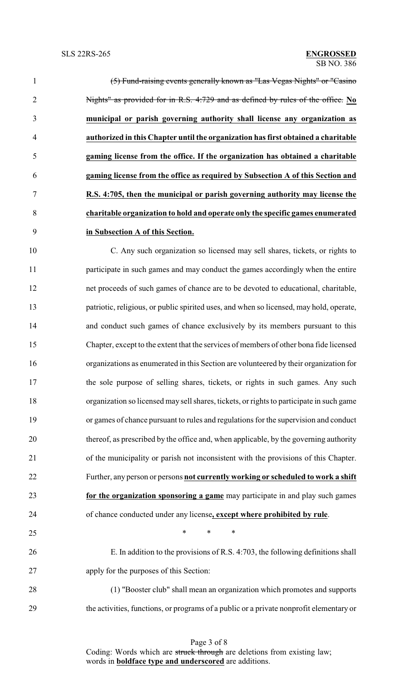| $\mathbf{1}$   | (5) Fund-raising events generally known as "Las Vegas Nights" or "Casino          |
|----------------|-----------------------------------------------------------------------------------|
| $\overline{2}$ | Nights" as provided for in R.S. 4:729 and as defined by rules of the office. No   |
| 3              | municipal or parish governing authority shall license any organization as         |
| 4              | authorized in this Chapter until the organization has first obtained a charitable |
| 5              | gaming license from the office. If the organization has obtained a charitable     |
| 6              | gaming license from the office as required by Subsection A of this Section and    |
| $\overline{7}$ | R.S. 4:705, then the municipal or parish governing authority may license the      |
| 8              | charitable organization to hold and operate only the specific games enumerated    |
| 9              | in Subsection A of this Section.                                                  |

 C. Any such organization so licensed may sell shares, tickets, or rights to participate in such games and may conduct the games accordingly when the entire net proceeds of such games of chance are to be devoted to educational, charitable, patriotic, religious, or public spirited uses, and when so licensed, may hold, operate, and conduct such games of chance exclusively by its members pursuant to this Chapter, except to the extent that the services of members of other bona fide licensed organizations as enumerated in this Section are volunteered by their organization for the sole purpose of selling shares, tickets, or rights in such games. Any such organization so licensed may sell shares, tickets, or rights to participate in such game or games of chance pursuant to rules and regulations for the supervision and conduct thereof, as prescribed by the office and, when applicable, by the governing authority of the municipality or parish not inconsistent with the provisions of this Chapter. Further, any person or persons **not currently working or scheduled to work a shift for the organization sponsoring a game** may participate in and play such games of chance conducted under any license**, except where prohibited by rule**.

 $*$  \* \* \*

 E. In addition to the provisions of R.S. 4:703, the following definitions shall apply for the purposes of this Section:

 (1) "Booster club" shall mean an organization which promotes and supports the activities, functions, or programs of a public or a private nonprofit elementary or

> Page 3 of 8 Coding: Words which are struck through are deletions from existing law; words in **boldface type and underscored** are additions.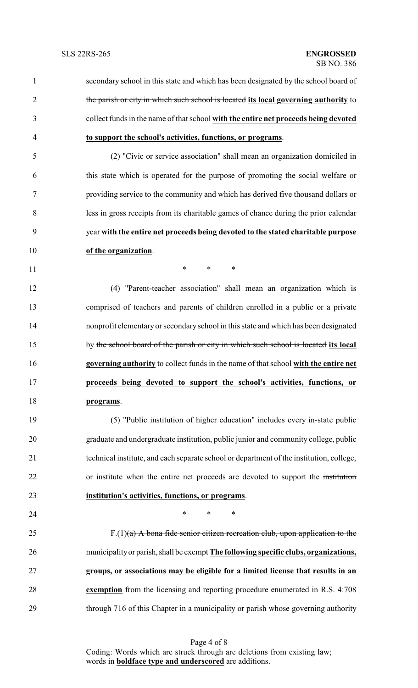1 secondary school in this state and which has been designated by the school board of the parish or city in which such school is located **its local governing authority** to collect funds in the name of that school **with the entire net proceeds being devoted to support the school's activities, functions, or programs**. (2) "Civic or service association" shall mean an organization domiciled in this state which is operated for the purpose of promoting the social welfare or providing service to the community and which has derived five thousand dollars or less in gross receipts from its charitable games of chance during the prior calendar year **with the entire net proceeds being devoted to the stated charitable purpose of the organization**. **\*** \* \* \* (4) "Parent-teacher association" shall mean an organization which is comprised of teachers and parents of children enrolled in a public or a private nonprofit elementaryor secondary school in this state and which has been designated by the school board of the parish or city in which such school is located **its local governing authority** to collect funds in the name of that school **with the entire net proceeds being devoted to support the school's activities, functions, or programs**. (5) "Public institution of higher education" includes every in-state public graduate and undergraduate institution, public junior and community college, public technical institute, and each separate school or department of the institution, college, or institute when the entire net proceeds are devoted to support the institution **institution's activities, functions, or programs**. **\*** \* \* \* 25 F.(1) $(a)$  A bona fide senior citizen recreation club, upon application to the municipalityor parish,shall be exempt **The following specific clubs, organizations, groups, or associations may be eligible for a limited license that results in an exemption** from the licensing and reporting procedure enumerated in R.S. 4:708

through 716 of this Chapter in a municipality or parish whose governing authority

Page 4 of 8 Coding: Words which are struck through are deletions from existing law; words in **boldface type and underscored** are additions.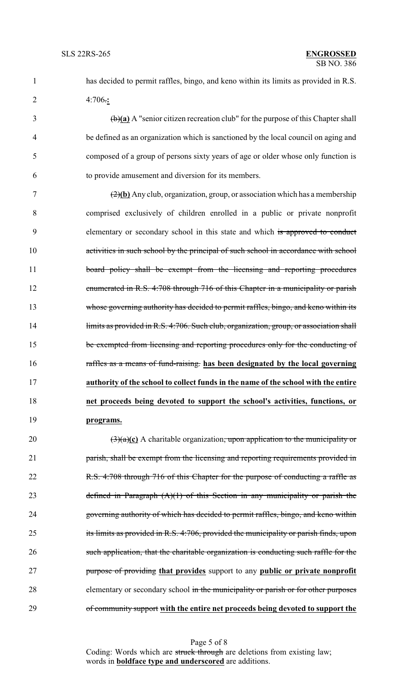1 has decided to permit raffles, bingo, and keno within its limits as provided in R.S. 2 4:706.**:**

 (b)**(a)** A "senior citizen recreation club" for the purpose of this Chapter shall be defined as an organization which is sanctioned by the local council on aging and composed of a group of persons sixty years of age or older whose only function is to provide amusement and diversion for its members.

 (2)**(b)** Any club, organization, group, or association which has a membership comprised exclusively of children enrolled in a public or private nonprofit 9 elementary or secondary school in this state and which is approved to conduct 10 activities in such school by the principal of such school in accordance with school 11 board policy shall be exempt from the licensing and reporting procedures enumerated in R.S. 4:708 through 716 of this Chapter in a municipality or parish whose governing authority has decided to permit raffles, bingo, and keno within its 14 limits as provided in R.S. 4:706. Such club, organization, group, or association shall be exempted from licensing and reporting procedures only for the conducting of raffles as a means of fund-raising. **has been designated by the local governing authority of the school to collect funds in the name of the school with the entire net proceeds being devoted to support the school's activities, functions, or programs.**

20  $\left(\frac{3}{a}\right)$  (3)(a)(c) A charitable organization, upon application to the municipality or 21 parish, shall be exempt from the licensing and reporting requirements provided in 22 R.S. 4:708 through 716 of this Chapter for the purpose of conducting a raffle as 23 defined in Paragraph  $(A)(1)$  of this Section in any municipality or parish the 24 governing authority of which has decided to permit raffles, bingo, and keno within 25 its limits as provided in R.S. 4:706, provided the municipality or parish finds, upon 26 such application, that the charitable organization is conducting such raffle for the 27 purpose of providing **that provides** support to any **public or private nonprofit** 28 elementary or secondary school in the municipality or parish or for other purposes 29 of community support **with the entire net proceeds being devoted to support the**

> Page 5 of 8 Coding: Words which are struck through are deletions from existing law; words in **boldface type and underscored** are additions.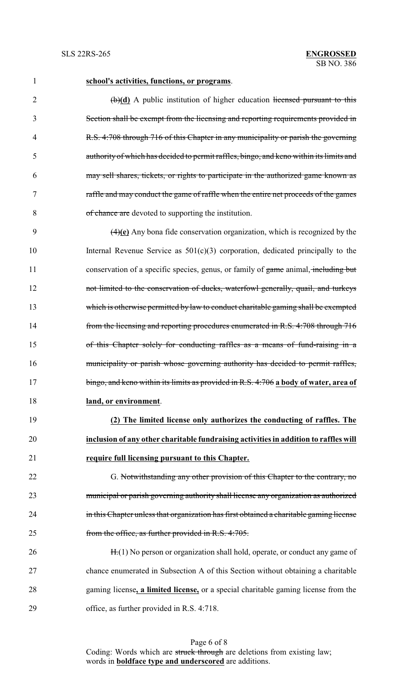## **school's activities, functions, or programs**.

2 (b)(d) A public institution of higher education licensed pursuant to this Section shall be exempt from the licensing and reporting requirements provided in R.S. 4:708 through 716 of this Chapter in any municipality or parish the governing authority of which has decided to permit raffles, bingo, and keno within its limits and may sell shares, tickets, or rights to participate in the authorized game known as raffle and may conduct the game of raffle when the entire net proceeds of the games of chance are devoted to supporting the institution.

 (4)**(e)** Any bona fide conservation organization, which is recognized by the Internal Revenue Service as 501(c)(3) corporation, dedicated principally to the 11 conservation of a specific species, genus, or family of game animal, including but not limited to the conservation of ducks, waterfowl generally, quail, and turkeys which is otherwise permitted by law to conduct charitable gaming shall be exempted from the licensing and reporting procedures enumerated in R.S. 4:708 through 716 of this Chapter solely for conducting raffles as a means of fund-raising in a municipality or parish whose governing authority has decided to permit raffles, bingo, and keno within its limits as provided in R.S. 4:706 **a body of water, area of land, or environment**.

 **(2) The limited license only authorizes the conducting of raffles. The inclusion of any other charitable fundraising activities in addition to raffles will require full licensing pursuant to this Chapter.**

22 G. Notwithstanding any other provision of this Chapter to the contrary, no municipal or parish governing authority shall license any organization as authorized 24 in this Chapter unless that organization has first obtained a charitable gaming license from the office, as further provided in R.S. 4:705.

26 H.(1) No person or organization shall hold, operate, or conduct any game of chance enumerated in Subsection A of this Section without obtaining a charitable gaming license**, a limited license,** or a special charitable gaming license from the office, as further provided in R.S. 4:718.

> Page 6 of 8 Coding: Words which are struck through are deletions from existing law; words in **boldface type and underscored** are additions.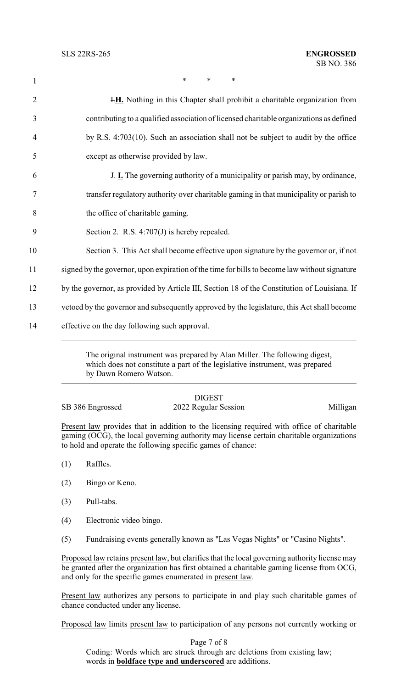1 \* \* \* \* **I.H.** Nothing in this Chapter shall prohibit a charitable organization from contributing to a qualified association of licensed charitable organizations as defined by R.S. 4:703(10). Such an association shall not be subject to audit by the office except as otherwise provided by law. J. **I.** The governing authority of a municipality or parish may, by ordinance, transfer regulatory authority over charitable gaming in that municipality or parish to the office of charitable gaming. Section 2. R.S. 4:707(J) is hereby repealed. Section 3. This Act shall become effective upon signature by the governor or, if not 11 signed by the governor, upon expiration of the time for bills to become law without signature by the governor, as provided by Article III, Section 18 of the Constitution of Louisiana. If vetoed by the governor and subsequently approved by the legislature, this Act shall become effective on the day following such approval.

> The original instrument was prepared by Alan Miller. The following digest, which does not constitute a part of the legislative instrument, was prepared by Dawn Romero Watson.

## DIGEST SB 386 Engrossed 2022 Regular Session Milligan

Present law provides that in addition to the licensing required with office of charitable gaming (OCG), the local governing authority may license certain charitable organizations to hold and operate the following specific games of chance:

- (1) Raffles.
- (2) Bingo or Keno.
- (3) Pull-tabs.
- (4) Electronic video bingo.
- (5) Fundraising events generally known as "Las Vegas Nights" or "Casino Nights".

Proposed law retains present law, but clarifies that the local governing authority license may be granted after the organization has first obtained a charitable gaming license from OCG, and only for the specific games enumerated in present law.

Present law authorizes any persons to participate in and play such charitable games of chance conducted under any license.

Proposed law limits present law to participation of any persons not currently working or

Page 7 of 8 Coding: Words which are struck through are deletions from existing law; words in **boldface type and underscored** are additions.